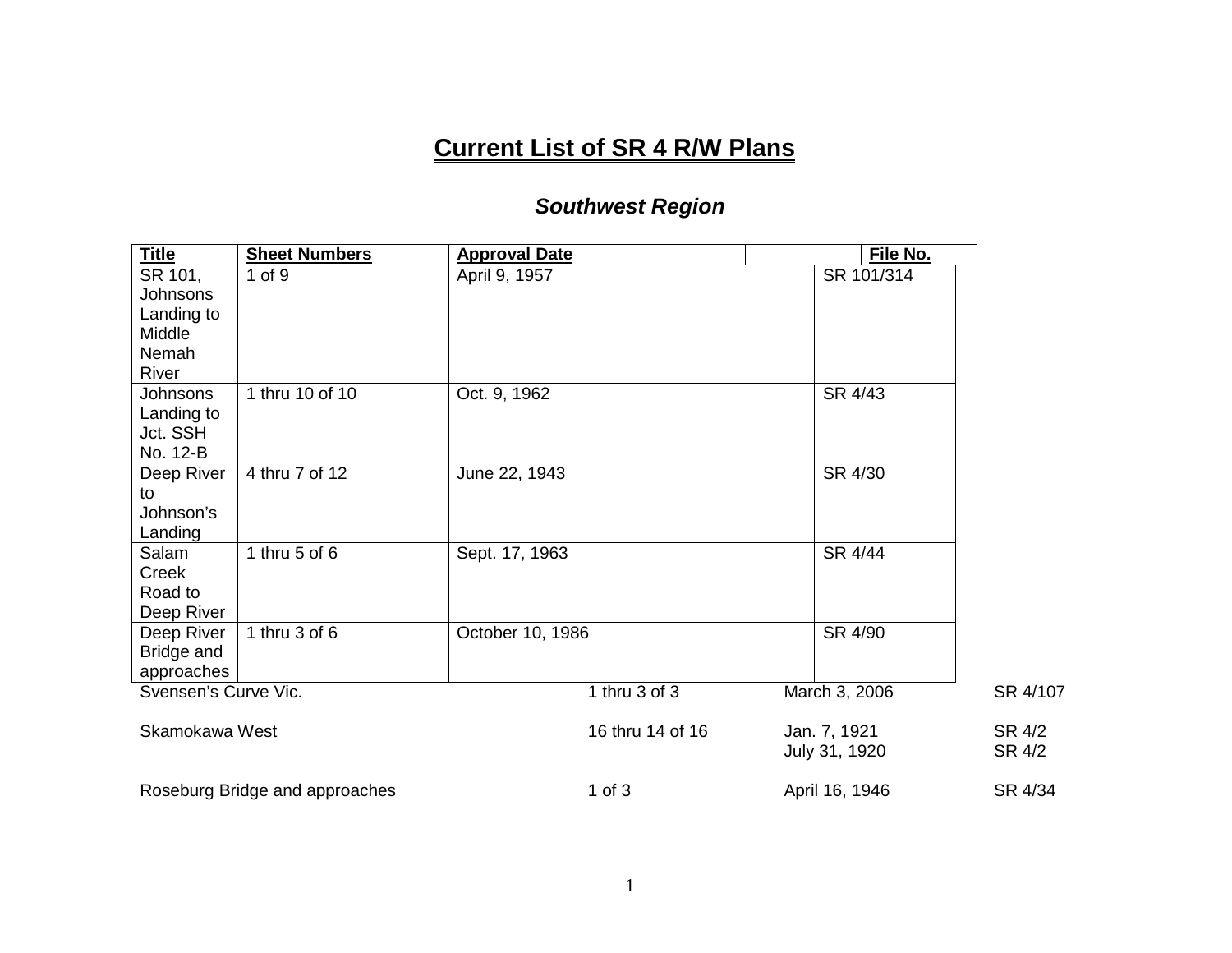## **Current List of SR 4 R/W Plans**

## *Southwest Region*

| <b>Title</b>         | <b>Sheet Numbers</b>           | <b>Approval Date</b> |                   |                               | File No.   |                  |
|----------------------|--------------------------------|----------------------|-------------------|-------------------------------|------------|------------------|
| SR 101,              | 1 of 9                         | April 9, 1957        |                   |                               | SR 101/314 |                  |
| Johnsons             |                                |                      |                   |                               |            |                  |
| Landing to           |                                |                      |                   |                               |            |                  |
| Middle               |                                |                      |                   |                               |            |                  |
| Nemah                |                                |                      |                   |                               |            |                  |
| River                |                                |                      |                   |                               |            |                  |
| Johnsons             | 1 thru 10 of 10                | Oct. 9, 1962         |                   | SR 4/43                       |            |                  |
| Landing to           |                                |                      |                   |                               |            |                  |
| Jct. SSH<br>No. 12-B |                                |                      |                   |                               |            |                  |
| Deep River           | 4 thru 7 of 12                 | June 22, 1943        |                   | SR 4/30                       |            |                  |
| to                   |                                |                      |                   |                               |            |                  |
| Johnson's            |                                |                      |                   |                               |            |                  |
| Landing              |                                |                      |                   |                               |            |                  |
| Salam                | 1 thru $5$ of $6$              | Sept. 17, 1963       |                   | SR 4/44                       |            |                  |
| Creek                |                                |                      |                   |                               |            |                  |
| Road to              |                                |                      |                   |                               |            |                  |
| Deep River           |                                |                      |                   |                               |            |                  |
| Deep River           | 1 thru $3$ of $6$              | October 10, 1986     |                   | SR 4/90                       |            |                  |
| Bridge and           |                                |                      |                   |                               |            |                  |
| approaches           |                                |                      |                   |                               |            |                  |
| Svensen's Curve Vic. |                                |                      | 1 thru $3$ of $3$ | March 3, 2006                 |            | SR 4/107         |
| Skamokawa West       |                                |                      | 16 thru 14 of 16  |                               |            |                  |
|                      |                                |                      |                   | Jan. 7, 1921<br>July 31, 1920 |            | SR 4/2<br>SR 4/2 |
|                      |                                |                      |                   |                               |            |                  |
|                      | Roseburg Bridge and approaches | $1$ of $3$           |                   | April 16, 1946                |            | SR 4/34          |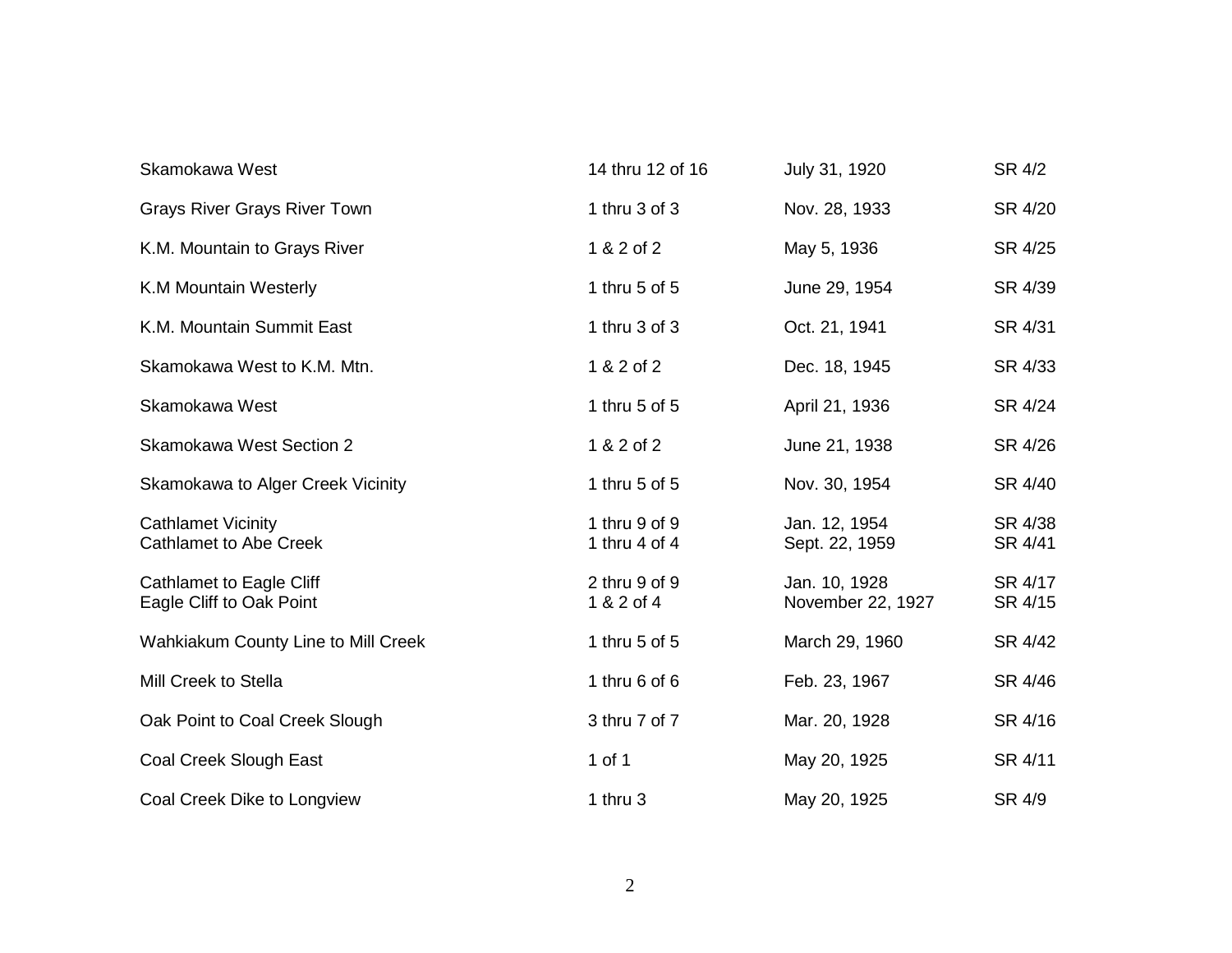| Skamokawa West                                              | 14 thru 12 of 16                   | July 31, 1920                      | SR 4/2             |
|-------------------------------------------------------------|------------------------------------|------------------------------------|--------------------|
| <b>Grays River Grays River Town</b>                         | 1 thru 3 of 3                      | Nov. 28, 1933                      | SR 4/20            |
| K.M. Mountain to Grays River                                | 1 & 2 of 2                         | May 5, 1936                        | SR 4/25            |
| <b>K.M Mountain Westerly</b>                                | 1 thru 5 of 5                      | June 29, 1954                      | SR 4/39            |
| K.M. Mountain Summit East                                   | 1 thru 3 of 3                      | Oct. 21, 1941                      | SR 4/31            |
| Skamokawa West to K.M. Mtn.                                 | 1 & 2 of 2                         | Dec. 18, 1945                      | SR 4/33            |
| Skamokawa West                                              | 1 thru 5 of 5                      | April 21, 1936                     | SR 4/24            |
| <b>Skamokawa West Section 2</b>                             | 1 & 2 of 2                         | June 21, 1938                      | SR 4/26            |
| Skamokawa to Alger Creek Vicinity                           | 1 thru 5 of 5                      | Nov. 30, 1954                      | SR 4/40            |
| <b>Cathlamet Vicinity</b><br><b>Cathlamet to Abe Creek</b>  | 1 thru 9 of 9<br>1 thru $4$ of $4$ | Jan. 12, 1954<br>Sept. 22, 1959    | SR 4/38<br>SR 4/41 |
| <b>Cathlamet to Eagle Cliff</b><br>Eagle Cliff to Oak Point | $2$ thru $9$ of $9$<br>1 & 2 of 4  | Jan. 10, 1928<br>November 22, 1927 | SR 4/17<br>SR 4/15 |
| Wahkiakum County Line to Mill Creek                         | 1 thru 5 of 5                      | March 29, 1960                     | SR 4/42            |
| Mill Creek to Stella                                        | 1 thru $6$ of $6$                  | Feb. 23, 1967                      | SR 4/46            |
| Oak Point to Coal Creek Slough                              | 3 thru 7 of 7                      | Mar. 20, 1928                      | SR 4/16            |
| Coal Creek Slough East                                      | 1 of 1                             | May 20, 1925                       | SR 4/11            |
| Coal Creek Dike to Longview                                 | 1 thru 3                           | May 20, 1925                       | SR 4/9             |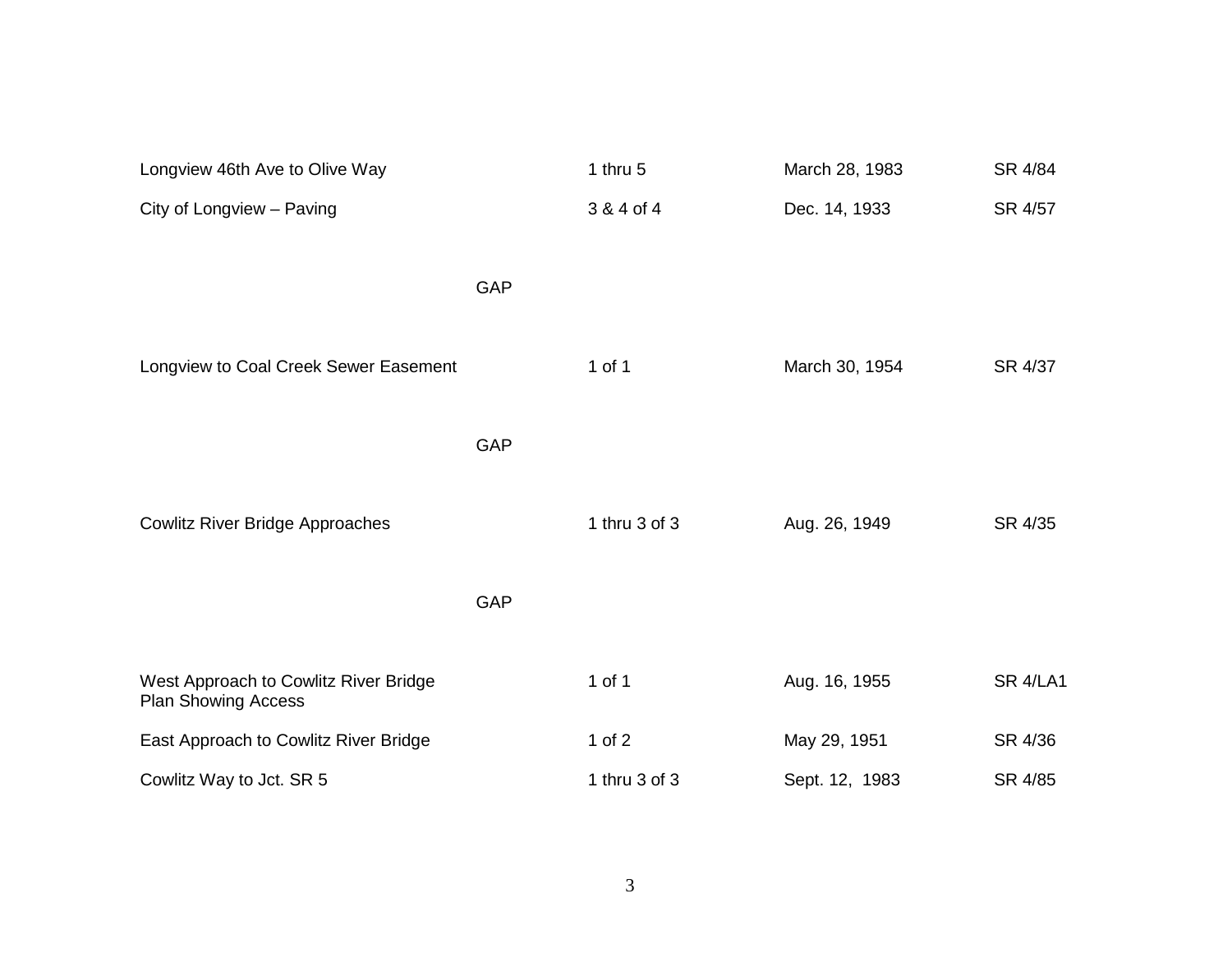| Longview 46th Ave to Olive Way                                      |     | 1 thru 5      | March 28, 1983 | SR 4/84         |
|---------------------------------------------------------------------|-----|---------------|----------------|-----------------|
| City of Longview - Paving                                           |     | 3 & 4 of 4    | Dec. 14, 1933  | SR 4/57         |
|                                                                     |     |               |                |                 |
|                                                                     | GAP |               |                |                 |
| Longview to Coal Creek Sewer Easement                               |     | 1 of 1        | March 30, 1954 | SR 4/37         |
|                                                                     | GAP |               |                |                 |
|                                                                     |     |               |                |                 |
| <b>Cowlitz River Bridge Approaches</b>                              |     | 1 thru 3 of 3 | Aug. 26, 1949  | SR 4/35         |
|                                                                     |     |               |                |                 |
|                                                                     | GAP |               |                |                 |
| West Approach to Cowlitz River Bridge<br><b>Plan Showing Access</b> |     | 1 of 1        | Aug. 16, 1955  | <b>SR 4/LA1</b> |
| East Approach to Cowlitz River Bridge                               |     | 1 of $2$      | May 29, 1951   | SR 4/36         |
| Cowlitz Way to Jct. SR 5                                            |     | 1 thru 3 of 3 | Sept. 12, 1983 | SR 4/85         |